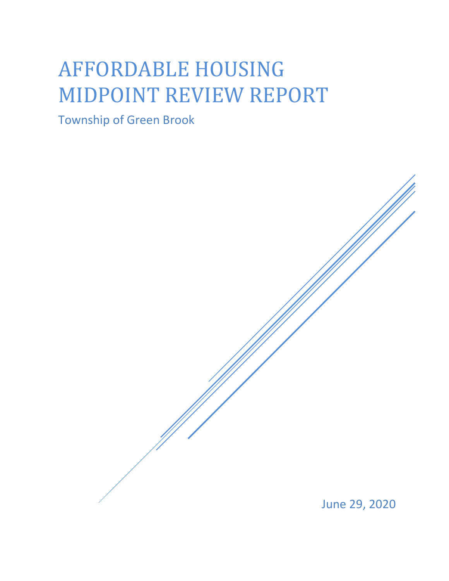# AFFORDABLE HOUSING MIDPOINT REVIEW REPORT

Township of Green Brook

June 29, 2020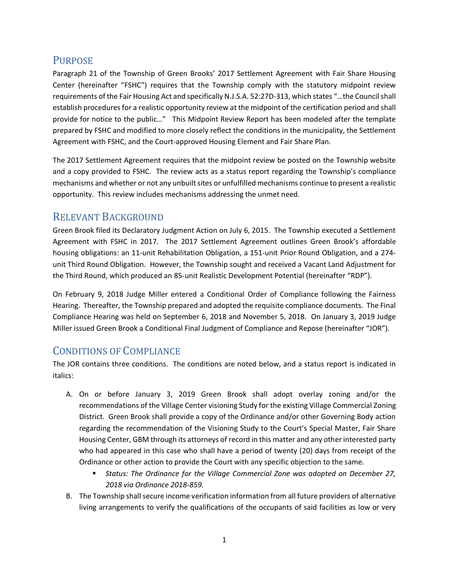#### PURPOSE

Paragraph 21 of the Township of Green Brooks' 2017 Settlement Agreement with Fair Share Housing Center (hereinafter "FSHC") requires that the Township comply with the statutory midpoint review requirements of the Fair Housing Act and specifically N.J.S.A. 52:27D-313, which states "…the Council shall establish procedures for a realistic opportunity review at the midpoint of the certification period and shall provide for notice to the public…" This Midpoint Review Report has been modeled after the template prepared by FSHC and modified to more closely reflect the conditions in the municipality, the Settlement Agreement with FSHC, and the Court-approved Housing Element and Fair Share Plan.

The 2017 Settlement Agreement requires that the midpoint review be posted on the Township website and a copy provided to FSHC. The review acts as a status report regarding the Township's compliance mechanisms and whether or not any unbuilt sites or unfulfilled mechanisms continue to present a realistic opportunity. This review includes mechanisms addressing the unmet need.

#### RELEVANT BACKGROUND

Green Brook filed its Declaratory Judgment Action on July 6, 2015. The Township executed a Settlement Agreement with FSHC in 2017. The 2017 Settlement Agreement outlines Green Brook's affordable housing obligations: an 11-unit Rehabilitation Obligation, a 151-unit Prior Round Obligation, and a 274 unit Third Round Obligation. However, the Township sought and received a Vacant Land Adjustment for the Third Round, which produced an 85-unit Realistic Development Potential (hereinafter "RDP").

On February 9, 2018 Judge Miller entered a Conditional Order of Compliance following the Fairness Hearing. Thereafter, the Township prepared and adopted the requisite compliance documents. The Final Compliance Hearing was held on September 6, 2018 and November 5, 2018. On January 3, 2019 Judge Miller issued Green Brook a Conditional Final Judgment of Compliance and Repose (hereinafter "JOR").

# CONDITIONS OF COMPLIANCE

The JOR contains three conditions. The conditions are noted below, and a status report is indicated in italics:

- A. On or before January 3, 2019 Green Brook shall adopt overlay zoning and/or the recommendations of the Village Center visioning Study for the existing Village Commercial Zoning District. Green Brook shall provide a copy of the Ordinance and/or other Governing Body action regarding the recommendation of the Visioning Study to the Court's Special Master, Fair Share Housing Center, GBM through its attorneys of record in this matter and any other interested party who had appeared in this case who shall have a period of twenty (20) days from receipt of the Ordinance or other action to provide the Court with any specific objection to the same.
	- *Status: The Ordinance for the Village Commercial Zone was adopted on December 27, 2018 via Ordinance 2018-859.*
- B. The Township shall secure income verification information from all future providers of alternative living arrangements to verify the qualifications of the occupants of said facilities as low or very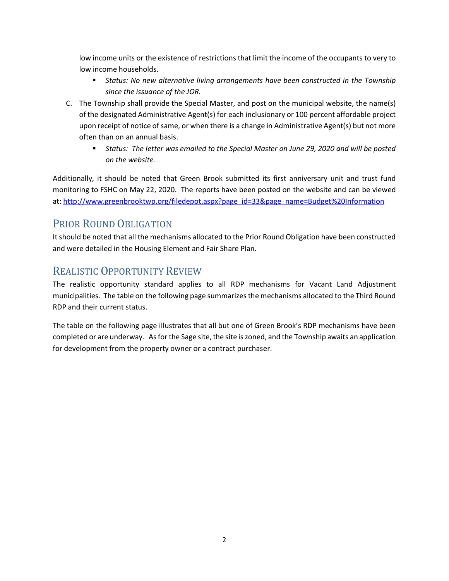low income units or the existence of restrictions that limit the income of the occupants to very to low income households.

- *Status: No new alternative living arrangements have been constructed in the Township since the issuance of the JOR.*
- C. The Township shall provide the Special Master, and post on the municipal website, the name(s) of the designated Administrative Agent(s) for each inclusionary or 100 percent affordable project upon receipt of notice of same, or when there is a change in Administrative Agent(s) but not more often than on an annual basis.
	- *Status: The letter was emailed to the Special Master on June 29, 2020 and will be posted on the website.*

Additionally, it should be noted that Green Brook submitted its first anniversary unit and trust fund monitoring to FSHC on May 22, 2020. The reports have been posted on the website and can be viewed at: [http://www.greenbrooktwp.org/filedepot.aspx?page\\_id=33&page\\_name=Budget%20Information](http://www.greenbrooktwp.org/filedepot.aspx?page_id=33&page_name=Budget%20Information)

# PRIOR ROUND OBLIGATION

It should be noted that all the mechanisms allocated to the Prior Round Obligation have been constructed and were detailed in the Housing Element and Fair Share Plan.

## REALISTIC OPPORTUNITY REVIEW

The realistic opportunity standard applies to all RDP mechanisms for Vacant Land Adjustment municipalities. The table on the following page summarizes the mechanisms allocated to the Third Round RDP and their current status.

The table on the following page illustrates that all but one of Green Brook's RDP mechanisms have been completed or are underway. As for the Sage site, the site is zoned, and the Township awaits an application for development from the property owner or a contract purchaser.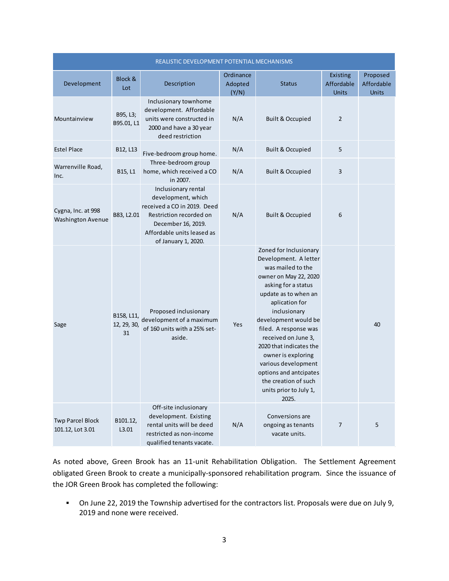| REALISTIC DEVELOPMENT POTENTIAL MECHANISMS     |                        |                                                                                                                                                                                |                                    |                                                                                                                                                                                                                                                                                                                                                                                                                     |                                 |                                 |  |
|------------------------------------------------|------------------------|--------------------------------------------------------------------------------------------------------------------------------------------------------------------------------|------------------------------------|---------------------------------------------------------------------------------------------------------------------------------------------------------------------------------------------------------------------------------------------------------------------------------------------------------------------------------------------------------------------------------------------------------------------|---------------------------------|---------------------------------|--|
| Development                                    | Block &<br>Lot         | Description                                                                                                                                                                    | Ordinance<br>Adopted<br>(Y/N)      | <b>Status</b>                                                                                                                                                                                                                                                                                                                                                                                                       | Existing<br>Affordable<br>Units | Proposed<br>Affordable<br>Units |  |
| Mountainview                                   | B95, L3;<br>B95.01, L1 | Inclusionary townhome<br>development. Affordable<br>units were constructed in<br>2000 and have a 30 year<br>deed restriction                                                   | N/A<br><b>Built &amp; Occupied</b> |                                                                                                                                                                                                                                                                                                                                                                                                                     | $\overline{2}$                  |                                 |  |
| <b>Estel Place</b>                             | B12, L13               | N/A<br>Five-bedroom group home.                                                                                                                                                |                                    | <b>Built &amp; Occupied</b>                                                                                                                                                                                                                                                                                                                                                                                         | 5                               |                                 |  |
| Warrenville Road,<br>Inc.                      | B15, L1                | Three-bedroom group<br>home, which received a CO<br>in 2007.                                                                                                                   | N/A                                | <b>Built &amp; Occupied</b>                                                                                                                                                                                                                                                                                                                                                                                         | $\mathsf 3$                     |                                 |  |
| Cygna, Inc. at 998<br><b>Washington Avenue</b> | B83, L2.01             | Inclusionary rental<br>development, which<br>received a CO in 2019. Deed<br>Restriction recorded on<br>December 16, 2019.<br>Affordable units leased as<br>of January 1, 2020. | N/A                                | <b>Built &amp; Occupied</b>                                                                                                                                                                                                                                                                                                                                                                                         | 6                               |                                 |  |
| Sage                                           | 12, 29, 30,<br>31      | Proposed inclusionary<br>B158, L11, development of a maximum<br>of 160 units with a 25% set-<br>aside.                                                                         | Yes                                | Zoned for Inclusionary<br>Development. A letter<br>was mailed to the<br>owner on May 22, 2020<br>asking for a status<br>update as to when an<br>aplication for<br>inclusionary<br>development would be<br>filed. A response was<br>received on June 3,<br>2020 that indicates the<br>owner is exploring<br>various development<br>options and antcipates<br>the creation of such<br>units prior to July 1,<br>2025. |                                 | 40                              |  |
| <b>Twp Parcel Block</b><br>101.12, Lot 3.01    | B101.12,<br>L3.01      | Off-site inclusionary<br>development. Existing<br>rental units will be deed<br>restricted as non-income<br>qualified tenants vacate.                                           | N/A                                | Conversions are<br>ongoing as tenants<br>vacate units.                                                                                                                                                                                                                                                                                                                                                              | 7                               | 5                               |  |

As noted above, Green Brook has an 11-unit Rehabilitation Obligation. The Settlement Agreement obligated Green Brook to create a municipally-sponsored rehabilitation program. Since the issuance of the JOR Green Brook has completed the following:

 On June 22, 2019 the Township advertised for the contractors list. Proposals were due on July 9, 2019 and none were received.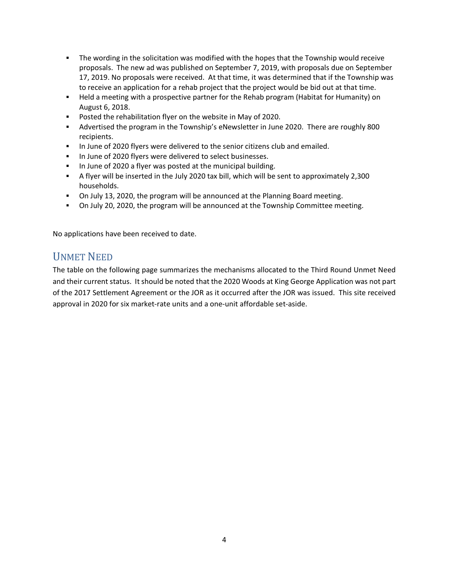- The wording in the solicitation was modified with the hopes that the Township would receive proposals. The new ad was published on September 7, 2019, with proposals due on September 17, 2019. No proposals were received. At that time, it was determined that if the Township was to receive an application for a rehab project that the project would be bid out at that time.
- Held a meeting with a prospective partner for the Rehab program (Habitat for Humanity) on August 6, 2018.
- **Posted the rehabilitation flyer on the website in May of 2020.**
- Advertised the program in the Township's eNewsletter in June 2020. There are roughly 800 recipients.
- In June of 2020 flyers were delivered to the senior citizens club and emailed.
- In June of 2020 flyers were delivered to select businesses.
- In June of 2020 a flyer was posted at the municipal building.
- A flyer will be inserted in the July 2020 tax bill, which will be sent to approximately 2,300 households.
- On July 13, 2020, the program will be announced at the Planning Board meeting.
- On July 20, 2020, the program will be announced at the Township Committee meeting.

No applications have been received to date.

#### UNMET NEED

The table on the following page summarizes the mechanisms allocated to the Third Round Unmet Need and their current status. It should be noted that the 2020 Woods at King George Application was not part of the 2017 Settlement Agreement or the JOR as it occurred after the JOR was issued. This site received approval in 2020 for six market-rate units and a one-unit affordable set-aside.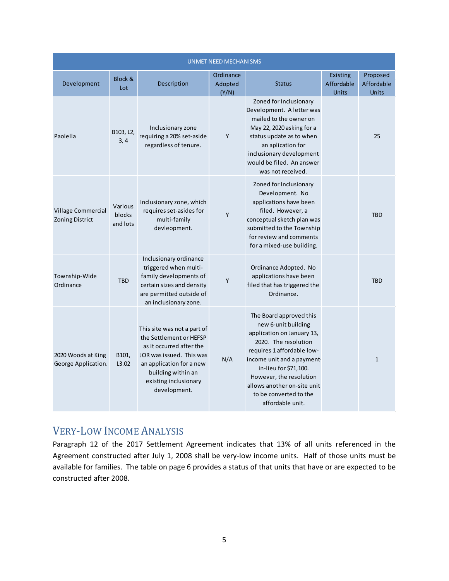| <b>UNMET NEED MECHANISMS</b>                 |                               |                                                                                                                                                                                                           |                                                |                                                                                                                                                                                                                                                                                                   |                                        |                                        |  |
|----------------------------------------------|-------------------------------|-----------------------------------------------------------------------------------------------------------------------------------------------------------------------------------------------------------|------------------------------------------------|---------------------------------------------------------------------------------------------------------------------------------------------------------------------------------------------------------------------------------------------------------------------------------------------------|----------------------------------------|----------------------------------------|--|
| Development                                  | Block &<br>Lot                | Description                                                                                                                                                                                               | Ordinance<br><b>Status</b><br>Adopted<br>(Y/N) |                                                                                                                                                                                                                                                                                                   | Existing<br>Affordable<br><b>Units</b> | Proposed<br>Affordable<br><b>Units</b> |  |
| Paolella                                     | B103, L2,<br>3, 4             | Inclusionary zone<br>requiring a 20% set-aside<br>regardless of tenure.                                                                                                                                   | Y                                              | Zoned for Inclusionary<br>Development. A letter was<br>mailed to the owner on<br>May 22, 2020 asking for a<br>status update as to when<br>an aplication for<br>inclusionary development<br>would be filed. An answer<br>was not received.                                                         |                                        | 25                                     |  |
| Village Commercial<br><b>Zoning District</b> | Various<br>blocks<br>and lots | Inclusionary zone, which<br>requires set-asides for<br>multi-family<br>devleopment.                                                                                                                       | Y                                              | Zoned for Inclusionary<br>Development. No<br>applications have been<br>filed. However, a<br>conceptual sketch plan was<br>submitted to the Township<br>for review and comments<br>for a mixed-use building.                                                                                       |                                        | <b>TBD</b>                             |  |
| Township-Wide<br>Ordinance                   | <b>TBD</b>                    | Inclusionary ordinance<br>triggered when multi-<br>family developments of<br>certain sizes and density<br>are permitted outside of<br>an inclusionary zone.                                               | Υ                                              | Ordinance Adopted. No<br>applications have been<br>filed that has triggered the<br>Ordinance.                                                                                                                                                                                                     |                                        | <b>TBD</b>                             |  |
| 2020 Woods at King<br>George Application.    | B101,<br>L3.02                | This site was not a part of<br>the Settlement or HEFSP<br>as it occurred after the<br>JOR was issued. This was<br>an application for a new<br>building within an<br>existing inclusionary<br>development. | N/A                                            | The Board approved this<br>new 6-unit building<br>application on January 13,<br>2020. The resolution<br>requires 1 affordable low-<br>income unit and a payment-<br>in-lieu for \$71,100.<br>However, the resolution<br>allows another on-site unit<br>to be converted to the<br>affordable unit. |                                        | $\mathbf{1}$                           |  |

# VERY-LOW INCOME ANALYSIS

Paragraph 12 of the 2017 Settlement Agreement indicates that 13% of all units referenced in the Agreement constructed after July 1, 2008 shall be very-low income units. Half of those units must be available for families. The table on page 6 provides a status of that units that have or are expected to be constructed after 2008.